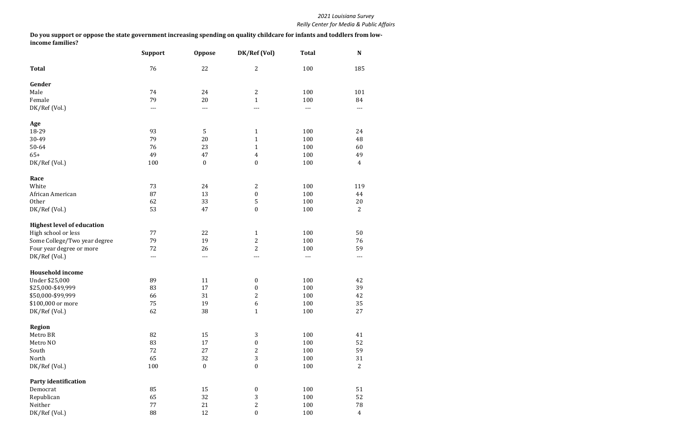|                                   | <b>Support</b> | <b>Oppose</b>    | DK/Ref (Vol)     | <b>Total</b> | N              |
|-----------------------------------|----------------|------------------|------------------|--------------|----------------|
| <b>Total</b>                      | 76             | 22               | $\mathbf{2}$     | 100          | 185            |
| Gender                            |                |                  |                  |              |                |
| Male                              | 74             | 24               | $\boldsymbol{2}$ | 100          | 101            |
| Female                            | 79             | 20               | $\mathbf{1}$     | 100          | 84             |
| DK/Ref (Vol.)                     | $---$          | $---$            | ---              | $---$        | ---            |
| Age                               |                |                  |                  |              |                |
| 18-29                             | 93             | 5                | $\mathbf{1}$     | 100          | 24             |
| 30-49                             | 79             | 20               | $\mathbf{1}$     | 100          | 48             |
| 50-64                             | 76             | 23               | $\mathbf{1}$     | 100          | 60             |
| $65+$                             | 49             | 47               | $\overline{4}$   | 100          | 49             |
| DK/Ref (Vol.)                     | 100            | $\boldsymbol{0}$ | $\boldsymbol{0}$ | 100          | $\overline{4}$ |
| Race                              |                |                  |                  |              |                |
| White                             | 73             | 24               | $\mathbf{2}$     | 100          | 119            |
| African American                  | 87             | 13               | $\boldsymbol{0}$ | 100          | 44             |
| Other                             | 62             | 33               | $\overline{5}$   | 100          | 20             |
| DK/Ref (Vol.)                     | 53             | 47               | $\boldsymbol{0}$ | 100          | $\overline{2}$ |
| <b>Highest level of education</b> |                |                  |                  |              |                |
| High school or less               | 77             | 22               | $\mathbf{1}$     | 100          | 50             |
| Some College/Two year degree      | 79             | 19               | $\overline{c}$   | 100          | 76             |
| Four year degree or more          | 72             | 26               | $\overline{2}$   | 100          | 59             |
| DK/Ref (Vol.)                     | ---            | $---$            | ---              | $---$        | ---            |
| <b>Household income</b>           |                |                  |                  |              |                |
| Under \$25,000                    | 89             | 11               | $\boldsymbol{0}$ | 100          | 42             |
| \$25,000-\$49,999                 | 83             | 17               | $\boldsymbol{0}$ | 100          | 39             |
| \$50,000-\$99,999                 | 66             | 31               | $\overline{2}$   | 100          | 42             |
| \$100,000 or more                 | $75\,$         | 19               | $\boldsymbol{6}$ | $100\,$      | 35             |
| DK/Ref (Vol.)                     | 62             | 38               | $\mathbf{1}$     | 100          | 27             |
| <b>Region</b>                     |                |                  |                  |              |                |
| Metro BR                          | 82             | 15               | $\sqrt{3}$       | 100          | 41             |
| Metro NO                          | 83             | 17               | $\boldsymbol{0}$ | 100          | 52             |
| South                             | 72             | 27               | $\overline{c}$   | 100          | 59             |
| North                             | 65             | 32               | $\sqrt{3}$       | 100          | 31             |
| DK/Ref (Vol.)                     | 100            | $\boldsymbol{0}$ | $\boldsymbol{0}$ | 100          | $\overline{2}$ |
| <b>Party identification</b>       |                |                  |                  |              |                |
| Democrat                          | 85             | 15               | $\boldsymbol{0}$ | 100          | 51             |
| Republican                        | 65             | 32               | $\sqrt{3}$       | 100          | 52             |
| Neither                           | 77             | 21               | $\sqrt{2}$       | 100          | 78             |
| DK/Ref (Vol.)                     | 88             | 12               | $\boldsymbol{0}$ | 100          | $\overline{4}$ |

**Do you support or oppose the state government increasing spending on quality childcare for infants and toddlers from lowincome families?**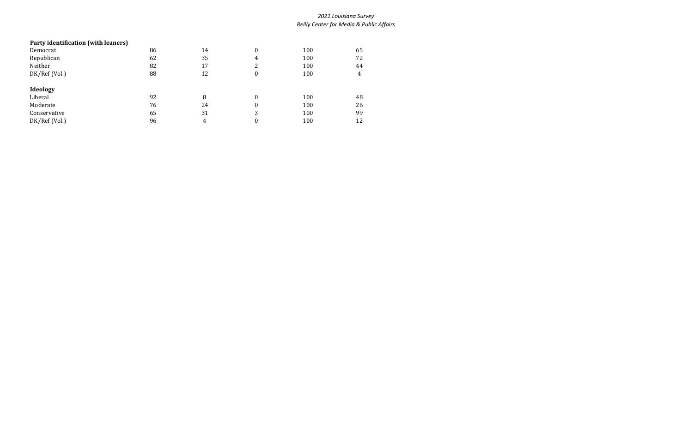# **Party identification (with leaners)** Democrat 86 14 0 100 65 Republican 62 5 35 4 100 72 Neither 100 32 32 32 32 32 32 32 32 44 DK/Ref (Vol.) 88 12 0 100 4 **Ideology** Liberal 100 48 Moderate 76 24 0 100 26 Moderate<br>
Conservative 65 31 3 100 26<br>
DK/Ref (Vol.) 96 4 0 100 12 DK/Ref (Vol.) 96 4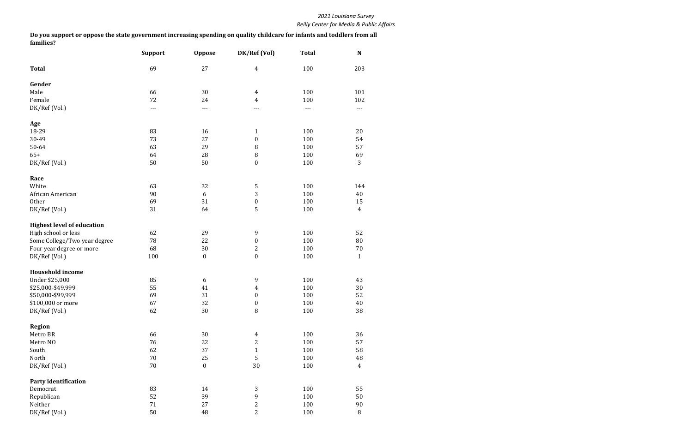|                                   | <b>Support</b> | <b>Oppose</b>    | DK/Ref (Vol)     | <b>Total</b>                        | N              |
|-----------------------------------|----------------|------------------|------------------|-------------------------------------|----------------|
| <b>Total</b>                      | 69             | 27               | $\overline{4}$   | 100                                 | 203            |
| Gender                            |                |                  |                  |                                     |                |
| Male                              | 66             | 30               | $\overline{4}$   | 100                                 | 101            |
| Female                            | 72             | 24               | 4                | 100                                 | 102            |
| DK/Ref (Vol.)                     | ---            | ---              | ---              | $\hspace{0.05cm}---\hspace{0.05cm}$ | ---            |
| Age                               |                |                  |                  |                                     |                |
| 18-29                             | 83             | 16               | $\mathbf{1}$     | 100                                 | 20             |
| 30-49                             | 73             | 27               | $\boldsymbol{0}$ | 100                                 | 54             |
| 50-64                             | 63             | 29               | 8                | 100                                 | 57             |
| $65+$                             | 64             | 28               | $\, 8$           | 100                                 | 69             |
| DK/Ref (Vol.)                     | 50             | 50               | $\boldsymbol{0}$ | 100                                 | 3              |
| Race                              |                |                  |                  |                                     |                |
| White                             | 63             | 32               | $\sqrt{5}$       | 100                                 | 144            |
| African American                  | 90             | 6                | 3                | 100                                 | 40             |
| Other                             | 69             | 31               | $\boldsymbol{0}$ | 100                                 | 15             |
| DK/Ref (Vol.)                     | 31             | 64               | 5                | 100                                 | $\overline{4}$ |
| <b>Highest level of education</b> |                |                  |                  |                                     |                |
| High school or less               | 62             | 29               | 9                | 100                                 | 52             |
| Some College/Two year degree      | 78             | 22               | $\boldsymbol{0}$ | 100                                 | 80             |
| Four year degree or more          | 68             | 30               | $\boldsymbol{2}$ | 100                                 | $70\,$         |
| DK/Ref (Vol.)                     | 100            | $\boldsymbol{0}$ | $\boldsymbol{0}$ | 100                                 | $\mathbf{1}$   |
| <b>Household income</b>           |                |                  |                  |                                     |                |
| Under \$25,000                    | 85             | 6                | 9                | 100                                 | 43             |
| \$25,000-\$49,999                 | 55             | 41               | 4                | 100                                 | $30\,$         |
| \$50,000-\$99,999                 | 69             | 31               | $\boldsymbol{0}$ | 100                                 | 52             |
| \$100,000 or more                 | 67             | 32               | $\boldsymbol{0}$ | $100\,$                             | $40\,$         |
| DK/Ref (Vol.)                     | 62             | 30               | $\, 8$           | 100                                 | 38             |
| <b>Region</b>                     |                |                  |                  |                                     |                |
| Metro BR                          | 66             | 30               | $\overline{4}$   | 100                                 | 36             |
| Metro NO                          | 76             | 22               | $\mathbf{2}$     | 100                                 | 57             |
| South                             | 62             | 37               | $\mathbf{1}$     | 100                                 | 58             |
| North                             | 70             | 25               | 5                | 100                                 | 48             |
| DK/Ref (Vol.)                     | 70             | $\boldsymbol{0}$ | $30\,$           | 100                                 | $\overline{4}$ |
| <b>Party identification</b>       |                |                  |                  |                                     |                |
| Democrat                          | 83             | 14               | 3                | 100                                 | 55             |
| Republican                        | 52             | 39               | 9                | 100                                 | 50             |
| Neither                           | 71             | 27               | $\boldsymbol{2}$ | 100                                 | $90\,$         |
| DK/Ref (Vol.)                     | 50             | 48               | $\overline{2}$   | 100                                 | $\, 8$         |

**Do you support or oppose the state government increasing spending on quality childcare for infants and toddlers from all families?**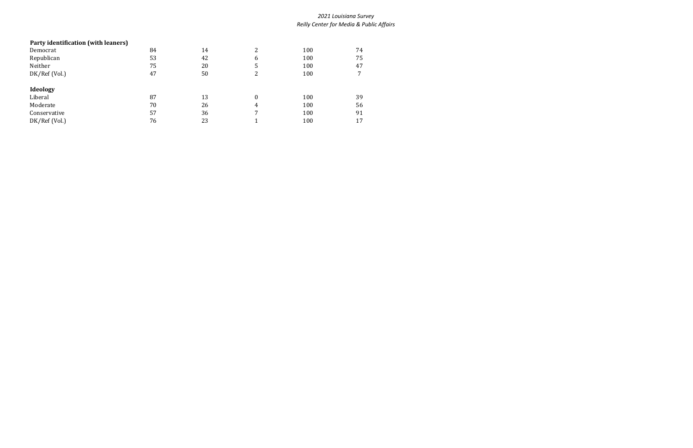# **Party identification (with leaners)** Democrat 84 14 2 100 74 Republican 53 53 42 6 100 75 Neither 75 20 5 100 47 0 100 17 100 17 100 17 100 17 100 17 100 17 100 17 100 17 100 17 100 17 100 17 100 17 100 17 100 17 100 17 100<br>DK/Ref (Vol.) 100 17 100 17 100 17 100 17 100 17 100 17 100 17 100 17 100 17 100 17 100 17 100 17 100 17 100 1 **Ideology** Liberal 13 0 100 39 Moderate 70 26 4 100 56 Moderate<br>
Conservative 57 36 7 100 56<br>
DK/Ref (Vol.) 56 23 1 100 17 DK/Ref (Vol.)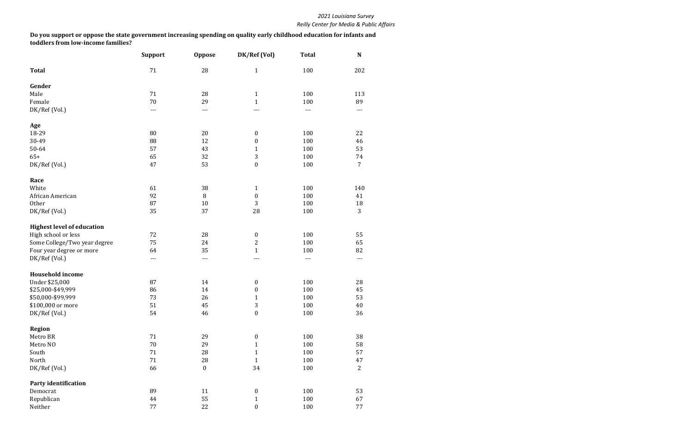|                                   | <b>Support</b> | <b>Oppose</b>    | DK/Ref (Vol)     | <b>Total</b> | N              |
|-----------------------------------|----------------|------------------|------------------|--------------|----------------|
| <b>Total</b>                      | 71             | 28               | $\mathbf{1}$     | 100          | 202            |
| Gender                            |                |                  |                  |              |                |
| Male                              | 71             | 28               | $\mathbf{1}$     | 100          | 113            |
| Female                            | 70             | 29               | $\mathbf{1}$     | 100          | 89             |
| DK/Ref (Vol.)                     | ---            | ---              | ---              | $---$        | ---            |
| Age                               |                |                  |                  |              |                |
| 18-29                             | 80             | 20               | $\boldsymbol{0}$ | 100          | 22             |
| 30-49                             | 88             | 12               | $\boldsymbol{0}$ | 100          | 46             |
| 50-64                             | 57             | 43               | $\mathbf{1}$     | 100          | 53             |
| $65+$                             | 65             | 32               | 3                | 100          | 74             |
| DK/Ref (Vol.)                     | 47             | 53               | $\boldsymbol{0}$ | 100          | 7              |
| Race                              |                |                  |                  |              |                |
| White                             | 61             | 38               | $\mathbf{1}$     | 100          | 140            |
| African American                  | 92             | 8                | $\boldsymbol{0}$ | 100          | 41             |
| Other                             | 87             | 10               | 3                | 100          | 18             |
| DK/Ref (Vol.)                     | 35             | 37               | 28               | 100          | 3              |
| <b>Highest level of education</b> |                |                  |                  |              |                |
| High school or less               | 72             | 28               | $\boldsymbol{0}$ | 100          | 55             |
| Some College/Two year degree      | 75             | 24               | $\overline{2}$   | 100          | 65             |
| Four year degree or more          | 64             | 35               | $\mathbf{1}$     | 100          | 82             |
| DK/Ref (Vol.)                     | ---            | ---              | ---              | ---          | ---            |
| <b>Household income</b>           |                |                  |                  |              |                |
| Under \$25,000                    | 87             | 14               | $\boldsymbol{0}$ | 100          | 28             |
| \$25,000-\$49,999                 | 86             | 14               | 0                | 100          | 45             |
| \$50,000-\$99,999                 | 73             | 26               | $\mathbf{1}$     | 100          | 53             |
| \$100,000 or more                 | 51             | 45               | 3                | 100          | $40\,$         |
| DK/Ref (Vol.)                     | 54             | 46               | $\boldsymbol{0}$ | 100          | 36             |
| <b>Region</b>                     |                |                  |                  |              |                |
| Metro BR                          | 71             | 29               | $\boldsymbol{0}$ | 100          | 38             |
| Metro NO                          | 70             | 29               | 1                | 100          | 58             |
| South                             | 71             | 28               | $\mathbf{1}$     | 100          | 57             |
| North                             | 71             | 28               | $\mathbf{1}$     | 100          | 47             |
| DK/Ref (Vol.)                     | 66             | $\boldsymbol{0}$ | 34               | 100          | $\overline{2}$ |
| <b>Party identification</b>       |                |                  |                  |              |                |
| Democrat                          | 89             | 11               | $\boldsymbol{0}$ | 100          | 53             |
| Republican                        | 44             | 55               | $\mathbf{1}$     | 100          | 67             |
| Neither                           | 77             | 22               | $\boldsymbol{0}$ | 100          | 77             |

**Do you support or oppose the state government increasing spending on quality early childhood education for infants and toddlers from low-income families?**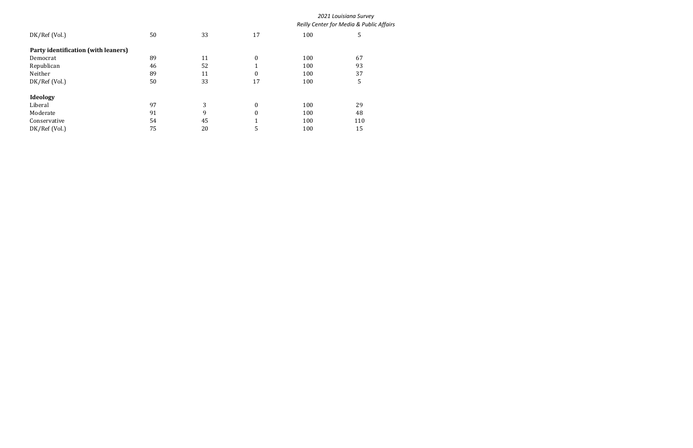|                                     |    |    |                      |     | 2021 Louisiana Survey                    |  |
|-------------------------------------|----|----|----------------------|-----|------------------------------------------|--|
|                                     |    |    |                      |     | Reilly Center for Media & Public Affairs |  |
| DK/Ref (Vol.)                       | 50 | 33 | 17                   | 100 | 5                                        |  |
| Party identification (with leaners) |    |    |                      |     |                                          |  |
| Democrat                            | 89 | 11 | $\boldsymbol{0}$     | 100 | 67                                       |  |
| Republican                          | 46 | 52 | 1                    | 100 | 93                                       |  |
| Neither                             | 89 | 11 | $\boldsymbol{0}$     | 100 | 37                                       |  |
| DK/Ref (Vol.)                       | 50 | 33 | 17                   | 100 | 5                                        |  |
| Ideology                            |    |    |                      |     |                                          |  |
| Liberal                             | 97 | 3  | $\boldsymbol{0}$     | 100 | 29                                       |  |
| Moderate                            | 91 | 9  | $\boldsymbol{0}$     | 100 | 48                                       |  |
| Conservative                        | 54 | 45 | $\blacktriangleleft$ | 100 | 110                                      |  |
| DK/Ref (Vol.)                       | 75 | 20 | 5                    | 100 | 15                                       |  |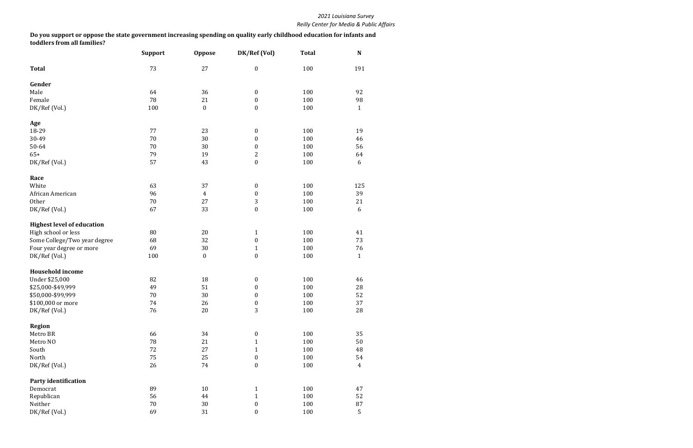|                                   | <b>Support</b> | <b>Oppose</b>    | DK/Ref (Vol)     | <b>Total</b> | N              |
|-----------------------------------|----------------|------------------|------------------|--------------|----------------|
| <b>Total</b>                      | 73             | 27               | $\boldsymbol{0}$ | 100          | 191            |
| Gender                            |                |                  |                  |              |                |
| Male                              | 64             | 36               | $\pmb{0}$        | 100          | 92             |
| Female                            | 78             | 21               | $\boldsymbol{0}$ | 100          | 98             |
| DK/Ref (Vol.)                     | 100            | $\boldsymbol{0}$ | $\boldsymbol{0}$ | 100          | $\mathbf{1}$   |
| Age                               |                |                  |                  |              |                |
| 18-29                             | 77             | 23               | $\boldsymbol{0}$ | 100          | 19             |
| 30-49                             | 70             | 30               | $\boldsymbol{0}$ | 100          | 46             |
| 50-64                             | 70             | 30               | $\boldsymbol{0}$ | 100          | 56             |
| $65+$                             | 79             | 19               | $\mathbf{2}$     | 100          | 64             |
| DK/Ref (Vol.)                     | 57             | 43               | $\boldsymbol{0}$ | 100          | 6              |
| Race                              |                |                  |                  |              |                |
| White                             | 63             | 37               | $\boldsymbol{0}$ | 100          | 125            |
| African American                  | 96             | $\overline{4}$   | $\boldsymbol{0}$ | 100          | 39             |
| Other                             | 70             | 27               | $\mathbf{3}$     | 100          | 21             |
| DK/Ref (Vol.)                     | 67             | 33               | $\boldsymbol{0}$ | 100          | 6              |
| <b>Highest level of education</b> |                |                  |                  |              |                |
| High school or less               | 80             | 20               | $\mathbf{1}$     | 100          | 41             |
| Some College/Two year degree      | 68             | 32               | $\boldsymbol{0}$ | 100          | 73             |
| Four year degree or more          | 69             | 30               | $\mathbf{1}$     | 100          | 76             |
| DK/Ref (Vol.)                     | 100            | $\boldsymbol{0}$ | $\boldsymbol{0}$ | 100          | $\mathbf{1}$   |
| <b>Household income</b>           |                |                  |                  |              |                |
| Under \$25,000                    | 82             | 18               | $\pmb{0}$        | 100          | 46             |
| \$25,000-\$49,999                 | 49             | 51               | $\boldsymbol{0}$ | 100          | 28             |
| \$50,000-\$99,999                 | 70             | 30               | $\boldsymbol{0}$ | 100          | 52             |
| \$100,000 or more                 | 74             | 26               | $\boldsymbol{0}$ | 100          | $37\,$         |
| DK/Ref (Vol.)                     | 76             | 20               | 3                | 100          | 28             |
| <b>Region</b>                     |                |                  |                  |              |                |
| Metro BR                          | 66             | 34               | $\pmb{0}$        | 100          | 35             |
| Metro NO                          | 78             | 21               | $\mathbf{1}$     | 100          | 50             |
| South                             | 72             | 27               | $\mathbf{1}$     | 100          | 48             |
| North                             | 75             | 25               | $\boldsymbol{0}$ | 100          | 54             |
| DK/Ref (Vol.)                     | 26             | 74               | $\boldsymbol{0}$ | 100          | $\overline{4}$ |
| <b>Party identification</b>       |                |                  |                  |              |                |
| Democrat                          | 89             | $10\,$           | $\mathbf{1}$     | 100          | 47             |
| Republican                        | 56             | 44               | $\mathbf{1}$     | 100          | 52             |
| Neither                           | $70\,$         | 30               | $\boldsymbol{0}$ | 100          | $\rm 87$       |
| DK/Ref (Vol.)                     | 69             | 31               | $\boldsymbol{0}$ | 100          | 5              |

**Do you support or oppose the state government increasing spending on quality early childhood education for infants and toddlers from all families?**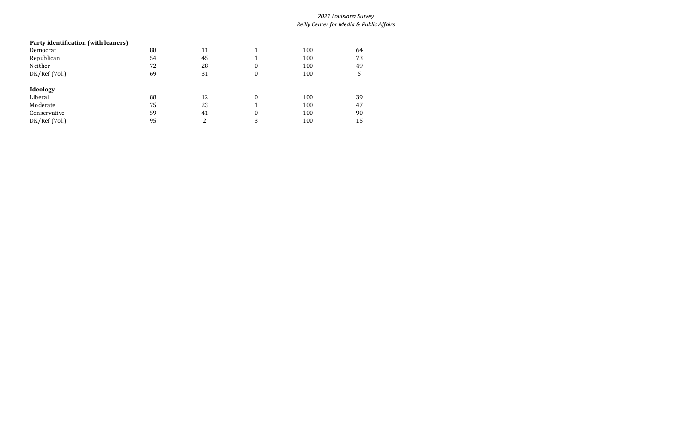# **Party identification (with leaners)** Democrat 100 64 Republican 100 54 54 54 56 1 100 73 Neither 72 28 0 100 49 DK/Ref (Vol.) 69 31 0 100 5 **Ideology** Liberal 12 0 100 39 Moderate 75 23 1 100 47 Conservative 59 41 0 100 90 DK/Ref (Vol.) 95 3 2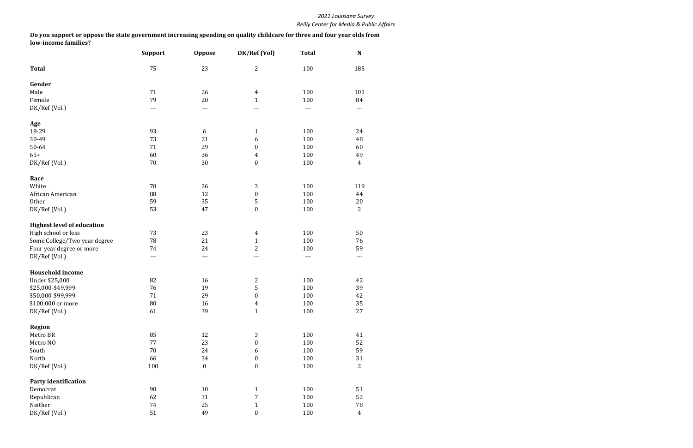|                                   | <b>Support</b> | <b>Oppose</b>    | DK/Ref (Vol)     | <b>Total</b> | N              |
|-----------------------------------|----------------|------------------|------------------|--------------|----------------|
| <b>Total</b>                      | 75             | 23               | $\mathbf{2}$     | 100          | 185            |
| Gender                            |                |                  |                  |              |                |
| Male                              | 71             | 26               | $\overline{4}$   | 100          | 101            |
| Female                            | 79             | 20               | $\mathbf{1}$     | 100          | 84             |
| DK/Ref (Vol.)                     | ---            | $---$            | ---              | $---$        | ---            |
| Age                               |                |                  |                  |              |                |
| 18-29                             | 93             | 6                | $\mathbf{1}$     | 100          | 24             |
| 30-49                             | 73             | 21               | 6                | 100          | 48             |
| 50-64                             | 71             | 29               | $\boldsymbol{0}$ | 100          | 60             |
| $65+$                             | 60             | 36               | $\overline{4}$   | 100          | 49             |
| DK/Ref (Vol.)                     | 70             | 30               | $\boldsymbol{0}$ | 100          | $\overline{4}$ |
| Race                              |                |                  |                  |              |                |
| White                             | 70             | 26               | $\mathfrak{Z}$   | 100          | 119            |
| African American                  | 88             | 12               | $\boldsymbol{0}$ | 100          | 44             |
| Other                             | 59             | 35               | $\sqrt{5}$       | 100          | 20             |
| DK/Ref (Vol.)                     | 53             | 47               | $\boldsymbol{0}$ | 100          | $\overline{2}$ |
| <b>Highest level of education</b> |                |                  |                  |              |                |
| High school or less               | 73             | 23               | 4                | 100          | 50             |
| Some College/Two year degree      | 78             | 21               | $\mathbf{1}$     | 100          | 76             |
| Four year degree or more          | 74             | 24               | $\overline{c}$   | 100          | 59             |
| DK/Ref (Vol.)                     | ---            | ---              | ---              | $---$        | ---            |
| <b>Household income</b>           |                |                  |                  |              |                |
| Under \$25,000                    | 82             | 16               | $\boldsymbol{2}$ | 100          | 42             |
| \$25,000-\$49,999                 | 76             | 19               | 5                | 100          | 39             |
| \$50,000-\$99,999                 | 71             | 29               | $\boldsymbol{0}$ | 100          | 42             |
| \$100,000 or more                 | ${\bf 80}$     | $16\,$           | $\overline{4}$   | $100\,$      | 35             |
| DK/Ref (Vol.)                     | 61             | 39               | $\mathbf{1}$     | 100          | 27             |
| <b>Region</b>                     |                |                  |                  |              |                |
| Metro BR                          | 85             | 12               | $\mathfrak{Z}$   | 100          | 41             |
| Metro NO                          | 77             | 23               | $\boldsymbol{0}$ | 100          | 52             |
| South                             | $70\,$         | 24               | 6                | 100          | 59             |
| North                             | 66             | 34               | $\boldsymbol{0}$ | 100          | 31             |
| DK/Ref (Vol.)                     | 100            | $\boldsymbol{0}$ | $\boldsymbol{0}$ | 100          | $\overline{2}$ |
| <b>Party identification</b>       |                |                  |                  |              |                |
| Democrat                          | 90             | $10\,$           | $\mathbf{1}$     | 100          | 51             |
| Republican                        | 62             | 31               | $\boldsymbol{7}$ | 100          | 52             |
| Neither                           | 74             | 25               | $\mathbf{1}$     | 100          | 78             |
| DK/Ref (Vol.)                     | 51             | 49               | $\boldsymbol{0}$ | 100          | $\overline{4}$ |

**Do you support or oppose the state government increasing spending on quality childcare for three and four year olds from low-income families?**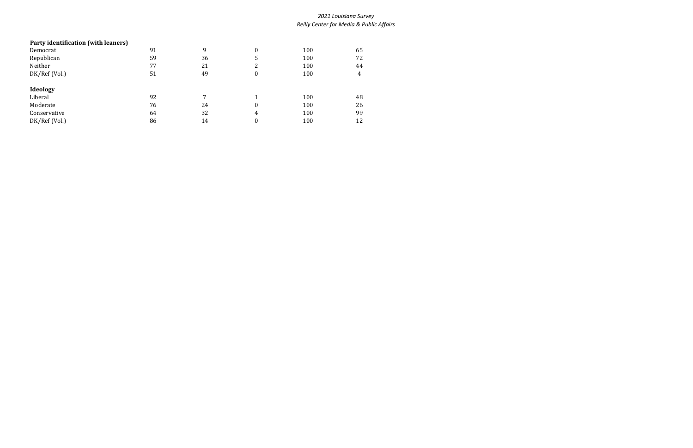# **Party identification (with leaners)** Democrat 91 9 0 100 65 Republican 59 5 5 5 5 5 72 Neither 77 21 2 100 44 Republican<br>
100 72<br>
100 72<br>
DK/Ref (Vol.) 51 49 0 100 4<br>
51 49 0 100 **Ideology** Liberal 100 48 Moderate 76 24 0 100 26 Moderate<br>
Conservative 64 32 4 100 26<br>
DK/Ref (Vol.) 86 14 0 100 12 DK/Ref (Vol.)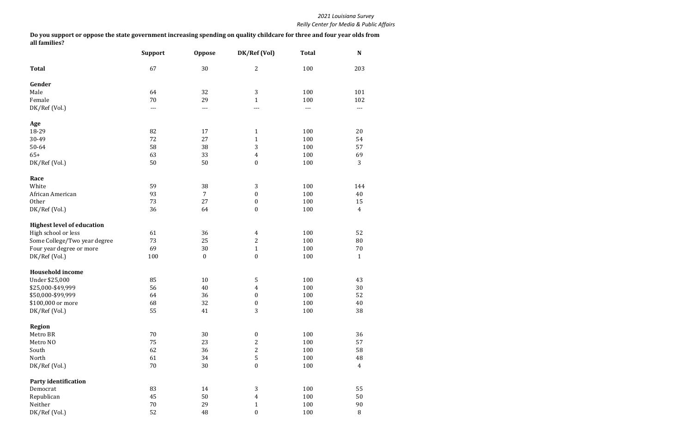|                                   | <b>Support</b> | <b>Oppose</b> | DK/Ref (Vol)            | <b>Total</b> | N                |
|-----------------------------------|----------------|---------------|-------------------------|--------------|------------------|
| <b>Total</b>                      | 67             | 30            | $\overline{2}$          | 100          | 203              |
| Gender                            |                |               |                         |              |                  |
| Male                              | 64             | 32            | $\mathbf{3}$            | 100          | 101              |
| Female                            | 70             | 29            | $\mathbf{1}$            | 100          | 102              |
| DK/Ref (Vol.)                     | ---            | $---$         | ---                     | $---$        | ---              |
| Age                               |                |               |                         |              |                  |
| 18-29                             | 82             | 17            | $\mathbf{1}$            | 100          | 20               |
| 30-49                             | 72             | 27            | $\mathbf{1}$            | 100          | 54               |
| 50-64                             | 58             | 38            | $\mathbf{3}$            | 100          | 57               |
| $65+$                             | 63             | 33            | $\overline{4}$          | 100          | 69               |
| DK/Ref (Vol.)                     | 50             | 50            | $\boldsymbol{0}$        | 100          | $\mathbf{3}$     |
| Race                              |                |               |                         |              |                  |
| White                             | 59             | 38            | $\mathfrak{Z}$          | 100          | 144              |
| African American                  | 93             | 7             | $\boldsymbol{0}$        | 100          | 40               |
| Other                             | 73             | 27            | $\boldsymbol{0}$        | 100          | 15               |
| DK/Ref (Vol.)                     | 36             | 64            | $\boldsymbol{0}$        | 100          | $\boldsymbol{4}$ |
| <b>Highest level of education</b> |                |               |                         |              |                  |
| High school or less               | 61             | 36            | $\overline{4}$          | 100          | 52               |
| Some College/Two year degree      | 73             | 25            | $\overline{c}$          | 100          | 80               |
| Four year degree or more          | 69             | 30            | $\mathbf{1}$            | 100          | $70\,$           |
| DK/Ref (Vol.)                     | 100            | $\pmb{0}$     | $\boldsymbol{0}$        | 100          | $\mathbf{1}$     |
| <b>Household income</b>           |                |               |                         |              |                  |
| Under \$25,000                    | 85             | 10            | 5                       | 100          | 43               |
| \$25,000-\$49,999                 | 56             | 40            | 4                       | 100          | 30               |
| \$50,000-\$99,999                 | 64             | 36            | $\boldsymbol{0}$        | 100          | 52               |
| \$100,000 or more                 | 68             | 32            | $\boldsymbol{0}$        | 100          | $40\,$           |
| DK/Ref (Vol.)                     | 55             | 41            | 3                       | 100          | 38               |
| <b>Region</b>                     |                |               |                         |              |                  |
| Metro BR                          | 70             | 30            | $\boldsymbol{0}$        | 100          | 36               |
| Metro NO                          | 75             | 23            | $\overline{c}$          | 100          | 57               |
| South                             | 62             | 36            | $\overline{c}$          | 100          | 58               |
| North                             | 61             | 34            | $\sqrt{5}$              | 100          | 48               |
| DK/Ref (Vol.)                     | $70\,$         | 30            | $\boldsymbol{0}$        | 100          | $\overline{4}$   |
| <b>Party identification</b>       |                |               |                         |              |                  |
| Democrat                          | 83             | 14            | $\mathfrak{Z}$          | 100          | 55               |
| Republican                        | 45             | 50            | $\overline{\mathbf{4}}$ | 100          | 50               |
| Neither                           | $70\,$         | 29            | $\mathbf{1}$            | 100          | 90               |
| DK/Ref (Vol.)                     | 52             | 48            | $\boldsymbol{0}$        | 100          | $\, 8$           |

**Do you support or oppose the state government increasing spending on quality childcare for three and four year olds from all families?**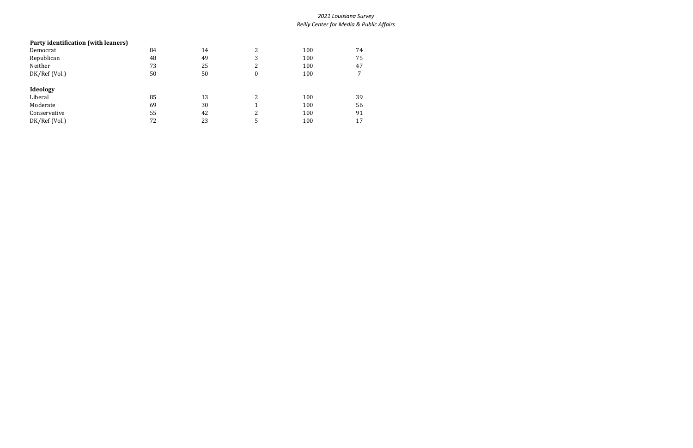# **Party identification (with leaners)** Democrat 84 14 2 100 74 Republican 100 75 Neither 73 25 2 100 47 DK/Ref (Vol.) 50 50 0 100 7 **Ideology** Liberal 13 2 100 39 Moderate 69 56 Moderate<br>
Conservative 55 42 2 100 56<br>
DK/Ref (Vol.) 72 23 5 100 17 DK/Ref (Vol.)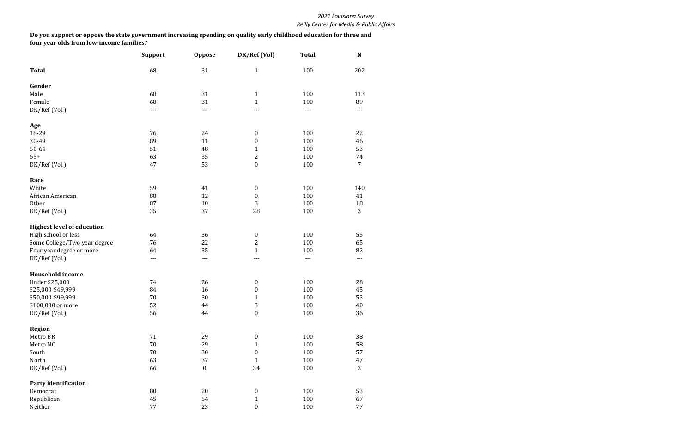|                                   | <b>Support</b> | <b>Oppose</b>    | DK/Ref (Vol)     | <b>Total</b> | N              |
|-----------------------------------|----------------|------------------|------------------|--------------|----------------|
| <b>Total</b>                      | 68             | 31               | $\mathbf{1}$     | 100          | 202            |
| Gender                            |                |                  |                  |              |                |
| Male                              | 68             | 31               | $\mathbf{1}$     | 100          | 113            |
| Female                            | 68             | 31               | $\mathbf{1}$     | 100          | 89             |
| DK/Ref (Vol.)                     | ---            | $---$            |                  | $---$        | $---$          |
| Age                               |                |                  |                  |              |                |
| 18-29                             | 76             | 24               | $\boldsymbol{0}$ | 100          | 22             |
| 30-49                             | 89             | 11               | 0                | 100          | 46             |
| 50-64                             | 51             | 48               | $\mathbf{1}$     | 100          | 53             |
| $65+$                             | 63             | 35               | $\overline{c}$   | 100          | 74             |
| DK/Ref (Vol.)                     | 47             | 53               | $\boldsymbol{0}$ | 100          | $\overline{7}$ |
| Race                              |                |                  |                  |              |                |
| White                             | 59             | 41               | $\boldsymbol{0}$ | 100          | 140            |
| African American                  | 88             | 12               | $\boldsymbol{0}$ | 100          | 41             |
| Other                             | 87             | 10               | 3                | 100          | 18             |
| DK/Ref (Vol.)                     | 35             | 37               | 28               | 100          | 3              |
| <b>Highest level of education</b> |                |                  |                  |              |                |
| High school or less               | 64             | 36               | $\boldsymbol{0}$ | 100          | 55             |
| Some College/Two year degree      | 76             | 22               | $\overline{2}$   | 100          | 65             |
| Four year degree or more          | 64             | 35               | $\mathbf{1}$     | 100          | 82             |
| DK/Ref (Vol.)                     | ---            | $---$            | ---              | $---$        | ---            |
| <b>Household income</b>           |                |                  |                  |              |                |
| Under \$25,000                    | 74             | 26               | $\boldsymbol{0}$ | 100          | 28             |
| \$25,000-\$49,999                 | 84             | 16               | 0                | 100          | 45             |
| \$50,000-\$99,999                 | 70             | 30               | $\mathbf{1}$     | 100          | 53             |
| \$100,000 or more                 | 52             | 44               | 3                | $100\,$      | 40             |
| DK/Ref (Vol.)                     | 56             | 44               | $\boldsymbol{0}$ | 100          | 36             |
| <b>Region</b>                     |                |                  |                  |              |                |
| Metro BR                          | 71             | 29               | $\boldsymbol{0}$ | 100          | 38             |
| Metro NO                          | 70             | 29               | 1                | 100          | 58             |
| South                             | $70\,$         | 30               | $\boldsymbol{0}$ | 100          | 57             |
| North                             | 63             | 37               | $\mathbf{1}$     | 100          | 47             |
| DK/Ref (Vol.)                     | 66             | $\boldsymbol{0}$ | 34               | 100          | $\overline{2}$ |
| <b>Party identification</b>       |                |                  |                  |              |                |
| Democrat                          | 80             | 20               | $\boldsymbol{0}$ | 100          | 53             |
| Republican                        | 45             | 54               | $\mathbf{1}$     | 100          | 67             |
| Neither                           | 77             | 23               | $\boldsymbol{0}$ | 100          | 77             |

**Do you support or oppose the state government increasing spending on quality early childhood education for three and four year olds from low-income families?**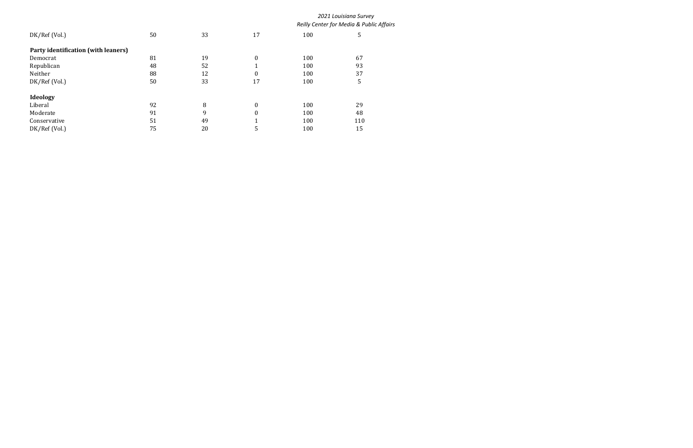|                                     |    |    |                  | 2021 Louisiana Survey<br>Reilly Center for Media & Public Affairs |     |  |
|-------------------------------------|----|----|------------------|-------------------------------------------------------------------|-----|--|
| DK/Ref (Vol.)                       | 50 | 33 | 17               | 100                                                               | 5   |  |
| Party identification (with leaners) |    |    |                  |                                                                   |     |  |
| Democrat                            | 81 | 19 | $\boldsymbol{0}$ | 100                                                               | 67  |  |
| Republican                          | 48 | 52 | 1                | 100                                                               | 93  |  |
| Neither                             | 88 | 12 | $\boldsymbol{0}$ | 100                                                               | 37  |  |
| DK/Ref (Vol.)                       | 50 | 33 | 17               | 100                                                               | 5   |  |
| Ideology                            |    |    |                  |                                                                   |     |  |
| Liberal                             | 92 | 8  | $\boldsymbol{0}$ | 100                                                               | 29  |  |
| Moderate                            | 91 | 9  | $\boldsymbol{0}$ | 100                                                               | 48  |  |
| Conservative                        | 51 | 49 | 1                | 100                                                               | 110 |  |
| DK/Ref (Vol.)                       | 75 | 20 | 5                | 100                                                               | 15  |  |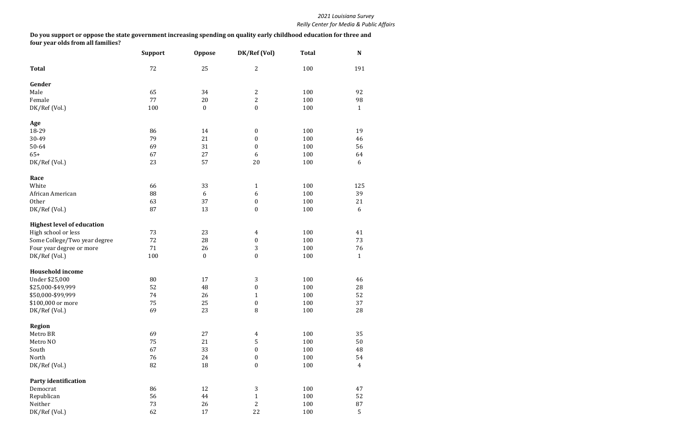|                                   | <b>Support</b> | <b>Oppose</b>    | DK/Ref (Vol)     | <b>Total</b> | N              |
|-----------------------------------|----------------|------------------|------------------|--------------|----------------|
| <b>Total</b>                      | 72             | 25               | $\mathbf{2}$     | 100          | 191            |
| Gender                            |                |                  |                  |              |                |
| Male                              | 65             | 34               | $\boldsymbol{2}$ | 100          | 92             |
| Female                            | 77             | 20               | $\overline{2}$   | 100          | 98             |
| DK/Ref (Vol.)                     | 100            | $\boldsymbol{0}$ | $\boldsymbol{0}$ | 100          | $\mathbf{1}$   |
| Age                               |                |                  |                  |              |                |
| 18-29                             | 86             | 14               | $\boldsymbol{0}$ | 100          | 19             |
| 30-49                             | 79             | 21               | $\boldsymbol{0}$ | 100          | 46             |
| 50-64                             | 69             | 31               | $\boldsymbol{0}$ | 100          | 56             |
| $65+$                             | 67             | 27               | 6                | 100          | 64             |
| DK/Ref (Vol.)                     | 23             | 57               | 20               | 100          | 6              |
| Race                              |                |                  |                  |              |                |
| White                             | 66             | 33               | $\mathbf{1}$     | 100          | 125            |
| African American                  | 88             | 6                | 6                | 100          | 39             |
| Other                             | 63             | 37               | $\pmb{0}$        | 100          | 21             |
| DK/Ref (Vol.)                     | 87             | 13               | $\boldsymbol{0}$ | 100          | 6              |
| <b>Highest level of education</b> |                |                  |                  |              |                |
| High school or less               | 73             | 23               | $\overline{4}$   | 100          | 41             |
| Some College/Two year degree      | 72             | 28               | $\pmb{0}$        | 100          | 73             |
| Four year degree or more          | 71             | 26               | 3                | 100          | 76             |
| DK/Ref (Vol.)                     | 100            | $\boldsymbol{0}$ | $\boldsymbol{0}$ | 100          | $\mathbf{1}$   |
| <b>Household income</b>           |                |                  |                  |              |                |
| Under \$25,000                    | 80             | 17               | 3                | 100          | 46             |
| \$25,000-\$49,999                 | 52             | 48               | $\boldsymbol{0}$ | 100          | 28             |
| \$50,000-\$99,999                 | 74             | 26               | $\mathbf{1}$     | 100          | 52             |
| \$100,000 or more                 | 75             | 25               | $\boldsymbol{0}$ | 100          | $37\,$         |
| DK/Ref (Vol.)                     | 69             | 23               | $\, 8$           | 100          | 28             |
| <b>Region</b>                     |                |                  |                  |              |                |
| Metro BR                          | 69             | 27               | $\overline{4}$   | 100          | 35             |
| Metro NO                          | 75             | 21               | 5                | 100          | 50             |
| South                             | 67             | 33               | $\boldsymbol{0}$ | 100          | 48             |
| North                             | 76             | 24               | $\boldsymbol{0}$ | 100          | 54             |
| DK/Ref (Vol.)                     | 82             | 18               | $\boldsymbol{0}$ | 100          | $\overline{4}$ |
| <b>Party identification</b>       |                |                  |                  |              |                |
| Democrat                          | 86             | 12               | 3                | 100          | 47             |
| Republican                        | 56             | 44               | $\mathbf{1}$     | 100          | 52             |
| Neither                           | 73             | 26               | $\overline{c}$   | 100          | $\rm 87$       |
| DK/Ref (Vol.)                     | 62             | 17               | 22               | 100          | 5              |

**Do you support or oppose the state government increasing spending on quality early childhood education for three and four year olds from all families?**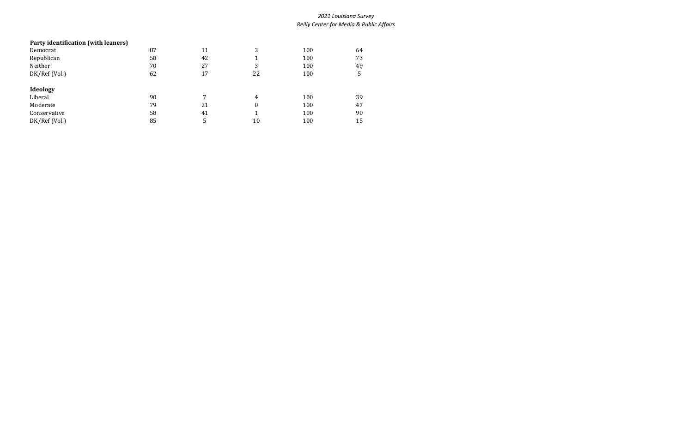# **Party identification (with leaners)** Democrat 87 11 2 100 64 Republican 100 58 58 42 1 100 73 Neither 20 27 3 100 49 DK/Ref (Vol.) 62 17 22 100 5 **Ideology** Liberal 100 39 90 7 4 100 39 Moderate 79 21 0 100 47 Conservative 58 41 1 100 90 DK/Ref (Vol.) 85 5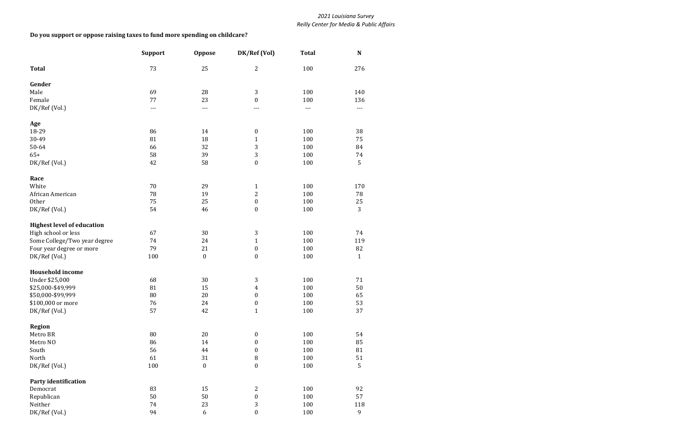|                                   | <b>Support</b> | <b>Oppose</b>    | DK/Ref (Vol)     | <b>Total</b> | N            |
|-----------------------------------|----------------|------------------|------------------|--------------|--------------|
| <b>Total</b>                      | 73             | 25               | $\overline{c}$   | 100          | 276          |
| Gender                            |                |                  |                  |              |              |
| Male                              | 69             | 28               | 3                | 100          | 140          |
| Female                            | 77             | 23               | $\boldsymbol{0}$ | 100          | 136          |
| DK/Ref (Vol.)                     | $---$          | $---$            | ---              | $---$        | $---$        |
| Age                               |                |                  |                  |              |              |
| 18-29                             | 86             | 14               | $\boldsymbol{0}$ | 100          | 38           |
| 30-49                             | 81             | 18               | $\mathbf{1}$     | 100          | 75           |
| 50-64                             | 66             | 32               | 3                | 100          | 84           |
| $65+$                             | 58             | 39               | 3                | 100          | 74           |
| DK/Ref (Vol.)                     | 42             | 58               | $\boldsymbol{0}$ | 100          | 5            |
| Race                              |                |                  |                  |              |              |
| White                             | 70             | 29               | $\mathbf{1}$     | 100          | 170          |
| African American                  | 78             | 19               | $\overline{c}$   | 100          | 78           |
| Other                             | 75             | 25               | $\boldsymbol{0}$ | 100          | $25\,$       |
| DK/Ref (Vol.)                     | 54             | 46               | $\boldsymbol{0}$ | 100          | 3            |
| <b>Highest level of education</b> |                |                  |                  |              |              |
| High school or less               | 67             | 30               | 3                | 100          | 74           |
| Some College/Two year degree      | 74             | 24               | $\mathbf{1}$     | 100          | 119          |
| Four year degree or more          | 79             | 21               | $\boldsymbol{0}$ | 100          | 82           |
| DK/Ref (Vol.)                     | 100            | $\boldsymbol{0}$ | $\boldsymbol{0}$ | 100          | $\mathbf{1}$ |
| <b>Household income</b>           |                |                  |                  |              |              |
| Under \$25,000                    | 68             | 30               | 3                | 100          | 71           |
| \$25,000-\$49,999                 | 81             | 15               | 4                | 100          | 50           |
| \$50,000-\$99,999                 | 80             | 20               | $\boldsymbol{0}$ | 100          | 65           |
| \$100,000 or more                 | $76\,$         | 24               | $\boldsymbol{0}$ | $100\,$      | 53           |
| DK/Ref (Vol.)                     | 57             | 42               | $\mathbf{1}$     | 100          | 37           |
| <b>Region</b>                     |                |                  |                  |              |              |
| Metro BR                          | 80             | 20               | $\pmb{0}$        | 100          | 54           |
| Metro NO                          | 86             | 14               | $\boldsymbol{0}$ | 100          | 85           |
| South                             | 56             | 44               | $\boldsymbol{0}$ | 100          | $\bf 81$     |
| North                             | 61             | 31               | $\, 8$           | 100          | 51           |
| DK/Ref (Vol.)                     | 100            | $\boldsymbol{0}$ | $\boldsymbol{0}$ | 100          | 5            |
| <b>Party identification</b>       |                |                  |                  |              |              |
| Democrat                          | 83             | 15               | 2                | 100          | 92           |
| Republican                        | 50             | 50               | $\boldsymbol{0}$ | 100          | 57           |
| Neither                           | 74             | 23               | 3                | 100          | 118          |
| DK/Ref (Vol.)                     | 94             | $\boldsymbol{6}$ | $\boldsymbol{0}$ | 100          | 9            |

### **Do you support or oppose raising taxes to fund more spending on childcare?**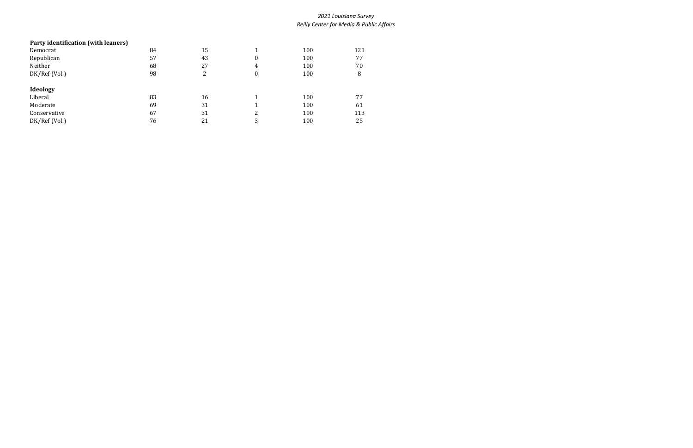# **Party identification (with leaners)** Democrat 121 164 15 1 100 121 Republican 57 57 43 0 100 77 Neither 68 27 4 100 70 DK/Ref (Vol.) 98 2 0 100 8 **Ideology** Liberal 100 77 Moderate 69 5 31 1 100 61 Conservative 67 31 2 100 113 DK/Ref (Vol.)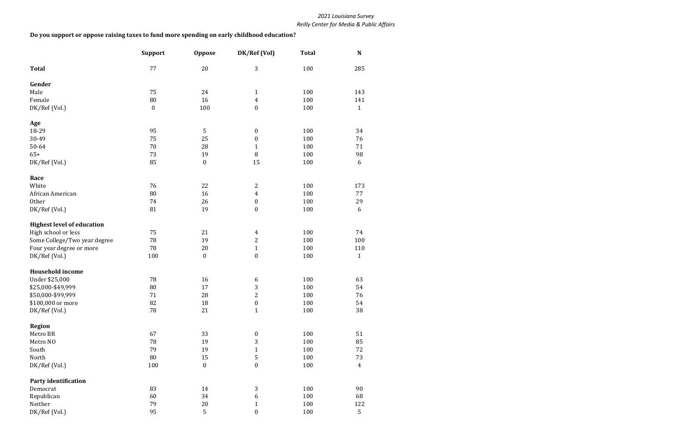|                                   | <b>Support</b>   | <b>Oppose</b>    | DK/Ref (Vol)     | <b>Total</b> | N              |
|-----------------------------------|------------------|------------------|------------------|--------------|----------------|
| <b>Total</b>                      | 77               | 20               | 3                | 100          | 285            |
| Gender                            |                  |                  |                  |              |                |
| Male                              | 75               | 24               | $\mathbf{1}$     | 100          | 143            |
| Female                            | 80               | 16               | $\overline{4}$   | 100          | 141            |
| DK/Ref (Vol.)                     | $\boldsymbol{0}$ | 100              | $\boldsymbol{0}$ | 100          | $\mathbf{1}$   |
| Age                               |                  |                  |                  |              |                |
| 18-29                             | 95               | 5                | $\boldsymbol{0}$ | 100          | 34             |
| 30-49                             | 75               | 25               | $\boldsymbol{0}$ | 100          | 76             |
| 50-64                             | 70               | 28               | $\mathbf{1}$     | 100          | 71             |
| $65+$                             | 73               | 19               | 8                | 100          | 98             |
| DK/Ref (Vol.)                     | 85               | $\boldsymbol{0}$ | 15               | 100          | 6              |
| Race                              |                  |                  |                  |              |                |
| White                             | 76               | 22               | $\overline{2}$   | 100          | 173            |
| African American                  | 80               | 16               | $\overline{4}$   | 100          | 77             |
| Other                             | 74               | 26               | $\boldsymbol{0}$ | 100          | 29             |
| DK/Ref (Vol.)                     | 81               | 19               | $\boldsymbol{0}$ | 100          | 6              |
| <b>Highest level of education</b> |                  |                  |                  |              |                |
| High school or less               | 75               | 21               | $\overline{4}$   | 100          | 74             |
| Some College/Two year degree      | 78               | 19               | $\mathbf{2}$     | 100          | 100            |
| Four year degree or more          | 78               | $20\,$           | $\mathbf{1}$     | 100          | 110            |
| DK/Ref (Vol.)                     | 100              | $\boldsymbol{0}$ | $\boldsymbol{0}$ | 100          | $\mathbf{1}$   |
| <b>Household income</b>           |                  |                  |                  |              |                |
| Under \$25,000                    | 78               | 16               | 6                | 100          | 63             |
| \$25,000-\$49,999                 | 80               | 17               | $\sqrt{3}$       | 100          | 54             |
| \$50,000-\$99,999                 | 71               | 28               | $\overline{2}$   | 100          | 76             |
| \$100,000 or more                 | 82               | $18\,$           | $\boldsymbol{0}$ | $100\,$      | 54             |
| DK/Ref (Vol.)                     | 78               | 21               | $\mathbf{1}$     | 100          | 38             |
| Region                            |                  |                  |                  |              |                |
| Metro BR                          | 67               | 33               | $\boldsymbol{0}$ | 100          | 51             |
| Metro NO                          | 78               | 19               | 3                | 100          | 85             |
| South                             | 79               | 19               | $\mathbf{1}$     | 100          | 72             |
| North                             | 80               | 15               | 5                | 100          | 73             |
| DK/Ref (Vol.)                     | 100              | $\boldsymbol{0}$ | $\boldsymbol{0}$ | 100          | $\overline{4}$ |
| <b>Party identification</b>       |                  |                  |                  |              |                |
| Democrat                          | 83               | 14               | 3                | 100          | 90             |
| Republican                        | 60               | 34               | 6                | 100          | 68             |
| Neither                           | 79               | $20\,$           | $\mathbf{1}$     | 100          | 122            |
| DK/Ref (Vol.)                     | 95               | 5                | $\boldsymbol{0}$ | 100          | 5              |

### **Do you support or oppose raising taxes to fund more spending on early childhood education?**